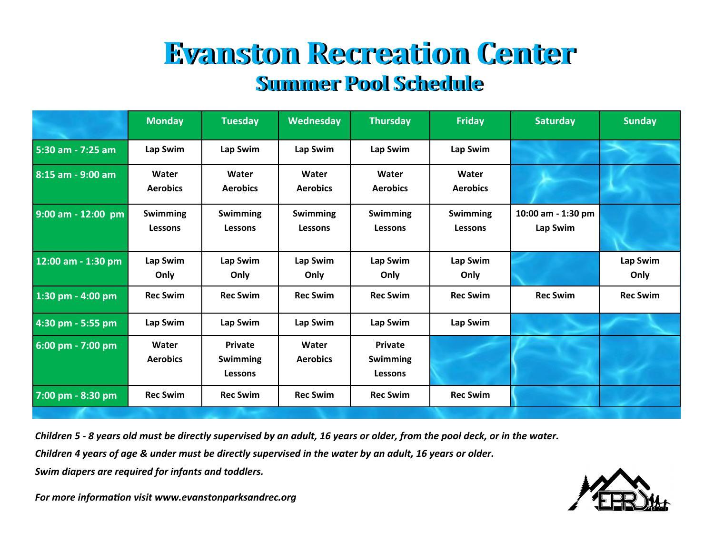## **Evanston Recreation Center Evanston Recreation Center Summer Pool Schedule Summer Pool Schedule**

|                    | <b>Monday</b>                     | <b>Tuesday</b>                                      | Wednesday                  | <b>Thursday</b>                       | <b>Friday</b>                     | <b>Saturday</b>                | <b>Sunday</b>    |
|--------------------|-----------------------------------|-----------------------------------------------------|----------------------------|---------------------------------------|-----------------------------------|--------------------------------|------------------|
| 5:30 am - 7:25 am  | Lap Swim                          | Lap Swim                                            | Lap Swim                   | Lap Swim                              | Lap Swim                          |                                |                  |
| 8:15 am - 9:00 am  | Water<br><b>Aerobics</b>          | Water<br><b>Aerobics</b>                            | Water<br><b>Aerobics</b>   | Water<br><b>Aerobics</b>              | Water<br><b>Aerobics</b>          |                                |                  |
| 9:00 am - 12:00 pm | <b>Swimming</b><br><b>Lessons</b> | <b>Swimming</b><br><b>Lessons</b>                   | Swimming<br><b>Lessons</b> | <b>Swimming</b><br><b>Lessons</b>     | <b>Swimming</b><br><b>Lessons</b> | 10:00 am - 1:30 pm<br>Lap Swim |                  |
| 12:00 am - 1:30 pm | Lap Swim<br>Only                  | Lap Swim<br>Only                                    | Lap Swim<br>Only           | Lap Swim<br>Only                      | Lap Swim<br>Only                  |                                | Lap Swim<br>Only |
| 1:30 pm - 4:00 pm  | <b>Rec Swim</b>                   | <b>Rec Swim</b>                                     | <b>Rec Swim</b>            | <b>Rec Swim</b>                       | <b>Rec Swim</b>                   | <b>Rec Swim</b>                | <b>Rec Swim</b>  |
| 4:30 pm - 5:55 pm  | Lap Swim                          | Lap Swim                                            | Lap Swim                   | Lap Swim                              | Lap Swim                          |                                |                  |
| 6:00 pm - 7:00 pm  | Water<br><b>Aerobics</b>          | <b>Private</b><br><b>Swimming</b><br><b>Lessons</b> | Water<br><b>Aerobics</b>   | Private<br>Swimming<br><b>Lessons</b> |                                   |                                |                  |
| 7:00 pm - 8:30 pm  | <b>Rec Swim</b>                   | <b>Rec Swim</b>                                     | <b>Rec Swim</b>            | <b>Rec Swim</b>                       | <b>Rec Swim</b>                   |                                |                  |

*Children 5 - 8 years old must be directly supervised by an adult, 16 years or older, from the pool deck, or in the water.*

*Children 4 years of age & under must be directly supervised in the water by an adult, 16 years or older.*

*Swim diapers are required for infants and toddlers.*



*For more information visit www.evanstonparksandrec.org*